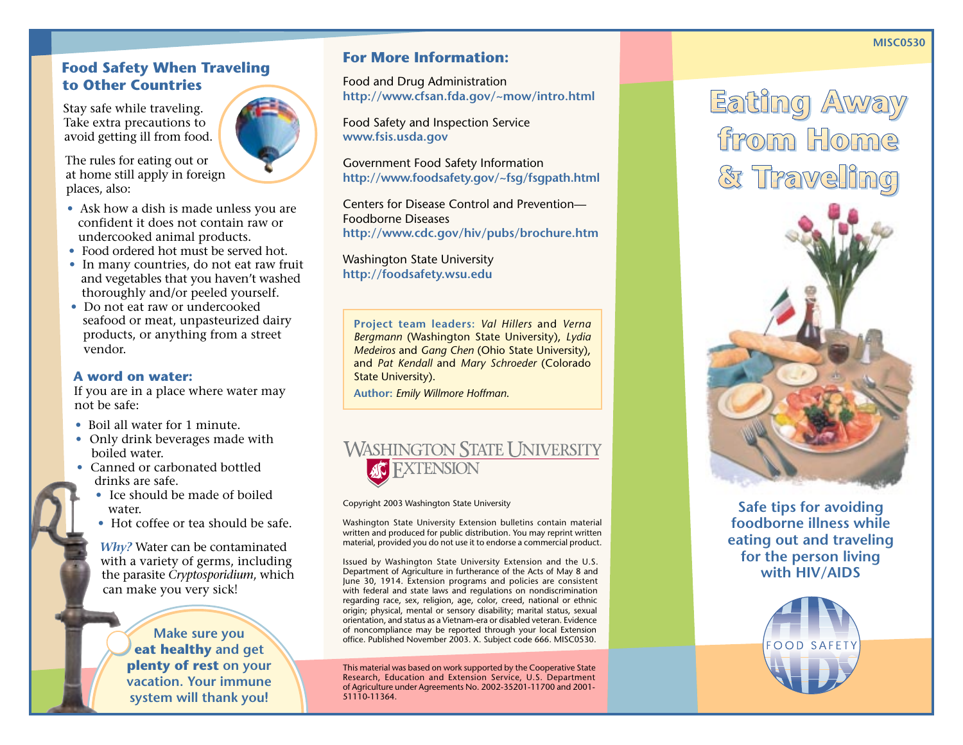### **Food Safety When Traveling to Other Countries**

Stay safe while traveling. Take extra precautions to avoid getting ill from food.

The rules for eating out or at home still apply in foreign places, also:

- **•** Ask how a dish is made unless you are confident it does not contain raw or undercooked animal products.
- **•** Food ordered hot must be served hot.
- **•** In many countries, do not eat raw fruit and vegetables that you haven't washed thoroughly and/or peeled yourself.
- **•** Do not eat raw or undercooked seafood or meat, unpasteurized dairy products, or anything from a street vendor.

#### **A word on water:**

If you are in a place where water may not be safe:

- **•** Boil all water for 1 minute.
- Only drink beverages made with boiled water.
- Canned or carbonated bottled drinks are safe.
	- Ice should be made of boiled water.
	- **•** Hot coffee or tea should be safe.

*Why?* Water can be contaminated with a variety of germs, including the parasite *Cryptosporidium*, which can make you very sick!

> **Make sure you eat healthy and get plenty of rest on your vacation. Your immune system will thank you!**

## **For More Information:**

Food and Drug Administration **http://www.cfsan.fda.gov/~mow/intro.html**

Food Safety and Inspection Service **www.fsis.usda.gov**

Government Food Safety Information **http://www.foodsafety.gov/~fsg/fsgpath.html**

Centers for Disease Control and Prevention— Foodborne Diseases **http://www.cdc.gov/hiv/pubs/brochure.htm**

Washington State University **http://foodsafety.wsu.edu**

**Project team leaders:** *Val Hillers* and *Verna Bergmann* (Washington State University), *Lydia Medeiros* and *Gang Chen* (Ohio State University), and *Pat Kendall* and *Mary Schroeder* (Colorado State University).

**Author:** *Emily Willmore Hoffman*.

# **WASHINGTON STATE UNIVERSITY FXTENSION**

Copyright 2003 Washington State University

Washington State University Extension bulletins contain material written and produced for public distribution. You may reprint written material, provided you do not use it to endorse a commercial product.

Issued by Washington State University Extension and the U.S. Department of Agriculture in furtherance of the Acts of May 8 and June 30, 1914. Extension programs and policies are consistent with federal and state laws and regulations on nondiscrimination regarding race, sex, religion, age, color, creed, national or ethnic origin; physical, mental or sensory disability; marital status, sexual orientation, and status as a Vietnam-era or disabled veteran. Evidence of noncompliance may be reported through your local Extension office. Published November 2003. X. Subject code 666. MISC0530.

This material was based on work supported by the Cooperative State Research, Education and Extension Service, U.S. Department of Agriculture under Agreements No. 2002-35201-11700 and 2001- 51110-11364.

Eating Away from Home & Traveling



**Safe tips for avoiding foodborne illness while eating out and traveling for the person living with HIV/AIDS**